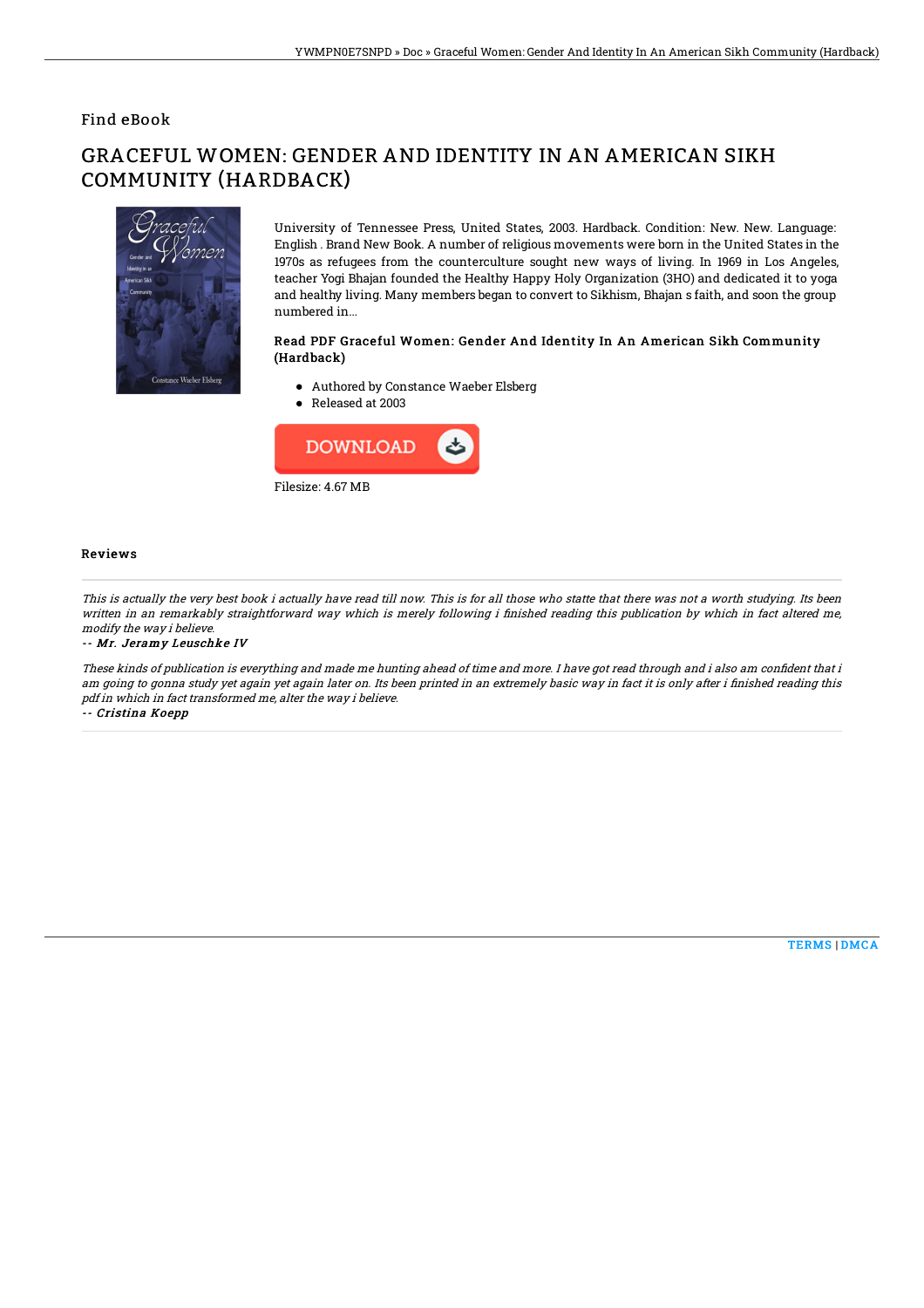### Find eBook

# GRACEFUL WOMEN: GENDER AND IDENTITY IN AN AMERICAN SIKH COMMUNITY (HARDBACK)



University of Tennessee Press, United States, 2003. Hardback. Condition: New. New. Language: English . Brand New Book. A number of religious movements were born in the United States in the 1970s as refugees from the counterculture sought new ways of living. In 1969 in Los Angeles, teacher Yogi Bhajan founded the Healthy Happy Holy Organization (3HO) and dedicated it to yoga and healthy living. Many members began to convert to Sikhism, Bhajan s faith, and soon the group numbered in...

#### Read PDF Graceful Women: Gender And Identity In An American Sikh Community (Hardback)

- Authored by Constance Waeber Elsberg
- Released at 2003



#### Reviews

This is actually the very best book i actually have read till now. This is for all those who statte that there was not <sup>a</sup> worth studying. Its been written in an remarkably straightforward way which is merely following i finished reading this publication by which in fact altered me, modify the way i believe.

-- Mr. Jeramy Leuschke IV

These kinds of publication is everything and made me hunting ahead of time and more. I have got read through and i also am confident that i am going to gonna study yet again yet again later on. Its been printed in an extremely basic way in fact it is only after i finished reading this pdf in which in fact transformed me, alter the way i believe.

-- Cristina Koepp